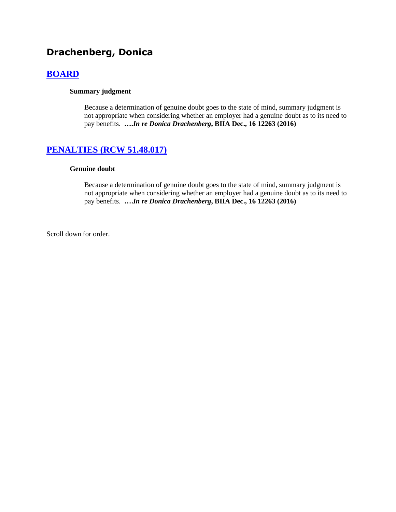# **Drachenberg, Donica**

# **[BOARD](http://www.biia.wa.gov/SDSubjectIndex.html#BOARD)**

#### **Summary judgment**

Because a determination of genuine doubt goes to the state of mind, summary judgment is not appropriate when considering whether an employer had a genuine doubt as to its need to pay benefits. **….***In re Donica Drachenberg***, BIIA Dec., 16 12263 (2016)**

## **[PENALTIES \(RCW 51.48.017\)](http://www.biia.wa.gov/SDSubjectIndex.html#PENALTIES)**

#### **Genuine doubt**

Because a determination of genuine doubt goes to the state of mind, summary judgment is not appropriate when considering whether an employer had a genuine doubt as to its need to pay benefits. **….***In re Donica Drachenberg***, BIIA Dec., 16 12263 (2016)**

Scroll down for order.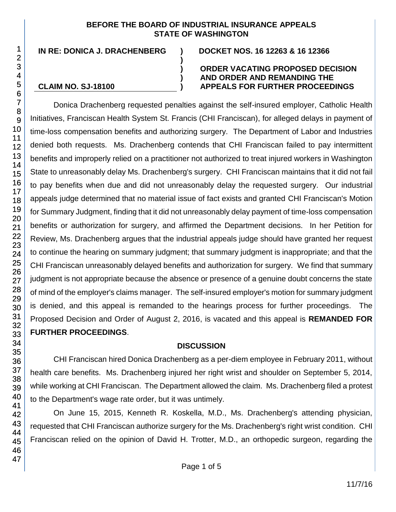#### **BEFORE THE BOARD OF INDUSTRIAL INSURANCE APPEALS STATE OF WASHINGTON**

**)**

**) ) )**

**IN RE: DONICA J. DRACHENBERG ) DOCKET NOS. 16 12263 & 16 12366**

**CLAIM NO. SJ-18100**

#### **ORDER VACATING PROPOSED DECISION AND ORDER AND REMANDING THE APPEALS FOR FURTHER PROCEEDINGS**

Donica Drachenberg requested penalties against the self-insured employer, Catholic Health Initiatives, Franciscan Health System St. Francis (CHI Franciscan), for alleged delays in payment of time-loss compensation benefits and authorizing surgery. The Department of Labor and Industries denied both requests. Ms. Drachenberg contends that CHI Franciscan failed to pay intermittent benefits and improperly relied on a practitioner not authorized to treat injured workers in Washington State to unreasonably delay Ms. Drachenberg's surgery. CHI Franciscan maintains that it did not fail to pay benefits when due and did not unreasonably delay the requested surgery. Our industrial appeals judge determined that no material issue of fact exists and granted CHI Franciscan's Motion for Summary Judgment, finding that it did not unreasonably delay payment of time-loss compensation benefits or authorization for surgery, and affirmed the Department decisions. In her Petition for Review, Ms. Drachenberg argues that the industrial appeals judge should have granted her request to continue the hearing on summary judgment; that summary judgment is inappropriate; and that the CHI Franciscan unreasonably delayed benefits and authorization for surgery. We find that summary judgment is not appropriate because the absence or presence of a genuine doubt concerns the state of mind of the employer's claims manager. The self-insured employer's motion for summary judgment is denied, and this appeal is remanded to the hearings process for further proceedings. The Proposed Decision and Order of August 2, 2016, is vacated and this appeal is **REMANDED FOR FURTHER PROCEEDINGS**.

# **DISCUSSION**

CHI Franciscan hired Donica Drachenberg as a per-diem employee in February 2011, without health care benefits. Ms. Drachenberg injured her right wrist and shoulder on September 5, 2014, while working at CHI Franciscan. The Department allowed the claim. Ms. Drachenberg filed a protest to the Department's wage rate order, but it was untimely.

On June 15, 2015, Kenneth R. Koskella, M.D., Ms. Drachenberg's attending physician, requested that CHI Franciscan authorize surgery for the Ms. Drachenberg's right wrist condition. CHI Franciscan relied on the opinion of David H. Trotter, M.D., an orthopedic surgeon, regarding the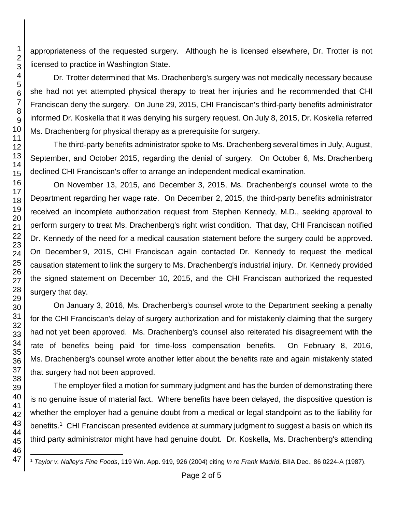appropriateness of the requested surgery. Although he is licensed elsewhere, Dr. Trotter is not licensed to practice in Washington State.

Dr. Trotter determined that Ms. Drachenberg's surgery was not medically necessary because she had not yet attempted physical therapy to treat her injuries and he recommended that CHI Franciscan deny the surgery. On June 29, 2015, CHI Franciscan's third-party benefits administrator informed Dr. Koskella that it was denying his surgery request. On July 8, 2015, Dr. Koskella referred Ms. Drachenberg for physical therapy as a prerequisite for surgery.

The third-party benefits administrator spoke to Ms. Drachenberg several times in July, August, September, and October 2015, regarding the denial of surgery. On October 6, Ms. Drachenberg declined CHI Franciscan's offer to arrange an independent medical examination.

On November 13, 2015, and December 3, 2015, Ms. Drachenberg's counsel wrote to the Department regarding her wage rate. On December 2, 2015, the third-party benefits administrator received an incomplete authorization request from Stephen Kennedy, M.D., seeking approval to perform surgery to treat Ms. Drachenberg's right wrist condition. That day, CHI Franciscan notified Dr. Kennedy of the need for a medical causation statement before the surgery could be approved. On December 9, 2015, CHI Franciscan again contacted Dr. Kennedy to request the medical causation statement to link the surgery to Ms. Drachenberg's industrial injury. Dr. Kennedy provided the signed statement on December 10, 2015, and the CHI Franciscan authorized the requested surgery that day.

On January 3, 2016, Ms. Drachenberg's counsel wrote to the Department seeking a penalty for the CHI Franciscan's delay of surgery authorization and for mistakenly claiming that the surgery had not yet been approved. Ms. Drachenberg's counsel also reiterated his disagreement with the rate of benefits being paid for time-loss compensation benefits. On February 8, 2016, Ms. Drachenberg's counsel wrote another letter about the benefits rate and again mistakenly stated that surgery had not been approved.

The employer filed a motion for summary judgment and has the burden of demonstrating there is no genuine issue of material fact. Where benefits have been delayed, the dispositive question is whether the employer had a genuine doubt from a medical or legal standpoint as to the liability for benefits.<sup>1</sup> CHI Franciscan presented evidence at summary judgment to suggest a basis on which its third party administrator might have had genuine doubt. Dr. Koskella, Ms. Drachenberg's attending

<sup>1</sup> *Taylor v. Nalley's Fine Foods*, 119 Wn. App. 919, 926 (2004) citing *In re Frank Madrid*, BIIA Dec., 86 0224-A (1987).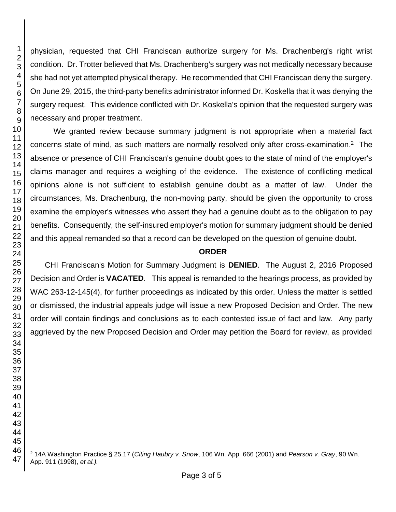physician, requested that CHI Franciscan authorize surgery for Ms. Drachenberg's right wrist condition. Dr. Trotter believed that Ms. Drachenberg's surgery was not medically necessary because she had not yet attempted physical therapy. He recommended that CHI Franciscan deny the surgery. On June 29, 2015, the third-party benefits administrator informed Dr. Koskella that it was denying the surgery request. This evidence conflicted with Dr. Koskella's opinion that the requested surgery was necessary and proper treatment.

We granted review because summary judgment is not appropriate when a material fact concerns state of mind, as such matters are normally resolved only after cross-examination.<sup>2</sup> The absence or presence of CHI Franciscan's genuine doubt goes to the state of mind of the employer's claims manager and requires a weighing of the evidence. The existence of conflicting medical opinions alone is not sufficient to establish genuine doubt as a matter of law. Under the circumstances, Ms. Drachenburg, the non-moving party, should be given the opportunity to cross examine the employer's witnesses who assert they had a genuine doubt as to the obligation to pay benefits. Consequently, the self-insured employer's motion for summary judgment should be denied and this appeal remanded so that a record can be developed on the question of genuine doubt.

## **ORDER**

CHI Franciscan's Motion for Summary Judgment is **DENIED**. The August 2, 2016 Proposed Decision and Order is **VACATED**. This appeal is remanded to the hearings process, as provided by WAC 263-12-145(4), for further proceedings as indicated by this order. Unless the matter is settled or dismissed, the industrial appeals judge will issue a new Proposed Decision and Order. The new order will contain findings and conclusions as to each contested issue of fact and law. Any party aggrieved by the new Proposed Decision and Order may petition the Board for review, as provided

l 14A Washington Practice § 25.17 (*Citing Haubry v. Snow*, 106 Wn. App. 666 (2001) and *Pearson v. Gray*, 90 Wn. App. 911 (1998), *et al.).*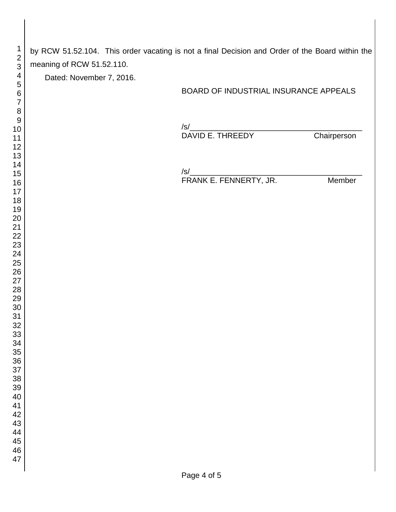by RCW 51.52.104. This order vacating is not a final Decision and Order of the Board within the meaning of RCW 51.52.110.

Dated: November 7, 2016.

### BOARD OF INDUSTRIAL INSURANCE APPEALS

/s/\_\_\_\_\_\_\_\_\_\_\_\_\_\_\_\_\_\_\_\_\_\_\_\_\_\_\_\_\_\_\_\_\_\_\_\_\_\_\_\_ DAVID E. THREEDY

 $\sqrt{s}/\frac{1}{\sqrt{2}}$ 

FRANK E. FENNERTY, JR. Member